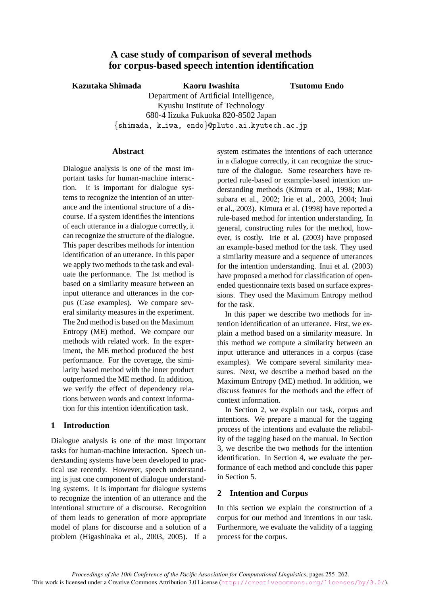# **A case study of comparison of several methods for corpus-based speech intention identification**

### **Kazutaka Shimada Kaoru Iwashita**

**Tsutomu Endo**

Department of Artificial Intelligence, Kyushu Institute of Technology 680-4 Iizuka Fukuoka 820-8502 Japan  $-$  . The contract of the contract of the contract of the contract of the contract of the contract of the contract of the contract of the contract of the contract of the contract of the contract of the contract of the con

#### **Abstract**

Dialogue analysis is one of the most important tasks for human-machine interaction. It is important for dialogue systems to recognize the intention of an utterance and the intentional structure of a discourse. If a system identifies the intentions of each utterance in a dialogue correctly, it can recognize the structure of the dialogue. This paper describes methods for intention identification of an utterance. In this paper we apply two methods to the task and evaluate the performance. The 1st method is based on a similarity measure between an input utterance and utterances in the corpus (Case examples). We compare several similarity measures in the experiment. The 2nd method is based on the Maximum Entropy (ME) method. We compare our methods with related work. In the experiment, the ME method produced the best performance. For the coverage, the similarity based method with the inner product outperformed the ME method. In addition, we verify the effect of dependency relations between words and context information for this intention identification task.

## **1 Introduction**

Dialogue analysis is one of the most important tasks for human-machine interaction. Speech understanding systems have been developed to practical use recently. However, speech understanding is just one component of dialogue understanding systems. It is important for dialogue systems to recognize the intention of an utterance and the intentional structure of a discourse. Recognition of them leads to generation of more appropriate model of plans for discourse and a solution of a problem (Higashinaka et al., 2003, 2005). If a system estimates the intentions of each utterance in a dialogue correctly, it can recognize the structure of the dialogue. Some researchers have reported rule-based or example-based intention understanding methods (Kimura et al., 1998; Matsubara et al., 2002; Irie et al., 2003, 2004; Inui et al., 2003). Kimura et al. (1998) have reported a rule-based method for intention understanding. In general, constructing rules for the method, however, is costly. Irie et al. (2003) have proposed an example-based method for the task. They used a similarity measure and a sequence of utterances for the intention understanding. Inui et al. (2003) have proposed a method for classification of openended questionnaire texts based on surface expressions. They used the Maximum Entropy method for the task.

In this paper we describe two methods for intention identification of an utterance. First, we explain a method based on a similarity measure. In this method we compute a similarity between an input utterance and utterances in a corpus (case examples). We compare several similarity measures. Next, we describe a method based on the Maximum Entropy (ME) method. In addition, we discuss features for the methods and the effect of context information.

In Section 2, we explain our task, corpus and intentions. We prepare a manual for the tagging process of the intentions and evaluate the reliability of the tagging based on the manual. In Section 3, we describe the two methods for the intention identification. In Section 4, we evaluate the performance of each method and conclude this paper in Section 5.

## **2 Intention and Corpus**

In this section we explain the construction of a corpus for our method and intentions in our task. Furthermore, we evaluate the validity of a tagging process for the corpus.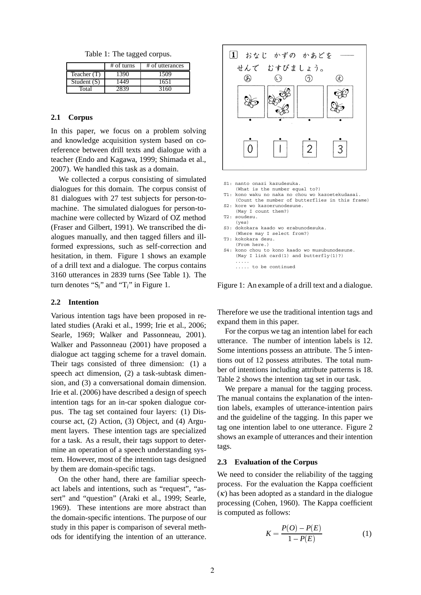Table 1: The tagged corpus.

|               | $#$ of turns | # of utterances |
|---------------|--------------|-----------------|
| Teacher (T)   | 1390         | 1509            |
| Student $(S)$ | 1449         | 1651            |
| Total         |              | 3160            |

#### **2.1 Corpus**

In this paper, we focus on a problem solving and knowledge acquisition system based on coreference between drill texts and dialogue with a teacher (Endo and Kagawa, 1999; Shimada et al., 2007). We handled this task as a domain.

We collected a corpus consisting of simulated dialogues for this domain. The corpus consist of 81 dialogues with 27 test subjects for person-tomachine. The simulated dialogues for person-tomachine were collected by Wizard of OZ method (Fraser and Gilbert, 1991). We transcribed the dialogues manually, and then tagged fillers and illformed expressions, such as self-correction and hesitation, in them. Figure 1 shows an example of a drill text and a dialogue. The corpus contains 3160 utterances in 2839 turns (See Table 1). The turn denotes "S*i*" and "T*i*" in Figure 1.

#### **2.2 Intention**

Various intention tags have been proposed in related studies (Araki et al., 1999; Irie et al., 2006; Searle, 1969; Walker and Passonneau, 2001). Walker and Passonneau (2001) have proposed a dialogue act tagging scheme for a travel domain. Their tags consisted of three dimension: (1) a speech act dimension, (2) a task-subtask dimension, and (3) a conversational domain dimension. Irie et al. (2006) have described a design of speech intention tags for an in-car spoken dialogue corpus. The tag set contained four layers: (1) Discourse act, (2) Action, (3) Object, and (4) Argument layers. These intention tags are specialized for a task. As a result, their tags support to determine an operation of a speech understanding system. However, most of the intention tags designed by them are domain-specific tags.

On the other hand, there are familiar speechact labels and intentions, such as "request", "assert" and "question" (Araki et al., 1999; Searle, 1969). These intentions are more abstract than the domain-specific intentions. The purpose of our study in this paper is comparison of several methods for identifying the intention of an utterance.



| S1: nanto onazi kazudesuka.<br>(What is the number equal to?)                                       |
|-----------------------------------------------------------------------------------------------------|
| T1: kono waku no naka no chou wo kazoetekudasai.<br>(Count the number of butterflies in this frame) |
| S2: kore wo kazoerunodesune.                                                                        |
| (May I count them?)                                                                                 |
| T2: soudesu.                                                                                        |
| (yes)                                                                                               |
| S3: dokokara kaado wo erabunodesuka.                                                                |
| (Where may I select from?)                                                                          |
| T3: kokokara desu.                                                                                  |
| (From here.)                                                                                        |
| S4: kono chou to kono kaado wo musubunodesune.                                                      |
| (May I link card(1) and butterfly(1)?)                                                              |
|                                                                                                     |
| to be continued                                                                                     |
|                                                                                                     |

Figure 1: An example of a drill text and a dialogue.

Therefore we use the traditional intention tags and expand them in this paper.

For the corpus we tag an intention label for each utterance. The number of intention labels is 12. Some intentions possess an attribute. The 5 intentions out of 12 possess attributes. The total number of intentions including attribute patterns is 18. Table 2 shows the intention tag set in our task.

We prepare a manual for the tagging process. The manual contains the explanation of the intention labels, examples of utterance-intention pairs and the guideline of the tagging. In this paper we tag one intention label to one utterance. Figure 2 shows an example of utterances and their intention tags.

#### **2.3 Evaluation of the Corpus**

We need to consider the reliability of the tagging process. For the evaluation the Kappa coefficient  $(\kappa)$  has been adopted as a standard in the dialogue processing (Cohen, 1960). The Kappa coefficient is computed as follows:

$$
K = \frac{P(O) - P(E)}{1 - P(E)}
$$
 (1)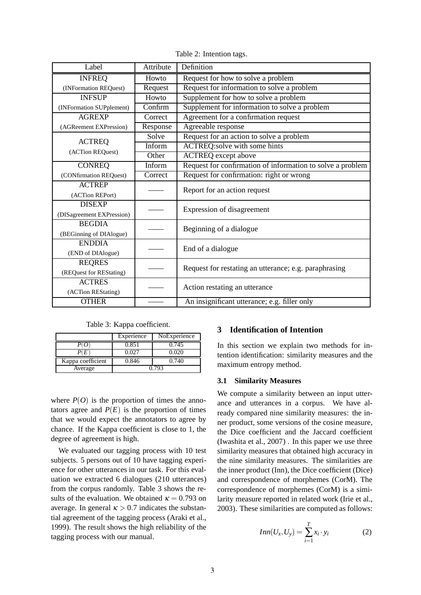| Label                     | Attribute                   | Definition                                                 |  |
|---------------------------|-----------------------------|------------------------------------------------------------|--|
| <b>INFREQ</b>             | Howto                       | Request for how to solve a problem                         |  |
| (INFormation REQuest)     | Request                     | Request for information to solve a problem                 |  |
| <b>INFSUP</b>             | Howto                       | Supplement for how to solve a problem                      |  |
| (INFormation SUPplement)  | $\overline{\text{Confirm}}$ | Supplement for information to solve a problem              |  |
| <b>AGREXP</b>             | Correct                     | Agreement for a confirmation request                       |  |
| (AGReement EXPression)    | Response                    | Agreeable response                                         |  |
| <b>ACTREQ</b>             | Solve                       | Request for an action to solve a problem                   |  |
| (ACTion REQuest)          | Inform                      | ACTREQ:solve with some hints                               |  |
|                           | Other                       | <b>ACTREQ</b> except above                                 |  |
| <b>CONREQ</b>             | Inform                      | Request for confirmation of information to solve a problem |  |
| (CONfirmation REQuest)    | Correct                     | Request for confirmation: right or wrong                   |  |
| <b>ACTREP</b>             |                             | Report for an action request                               |  |
| (ACTion REPort)           |                             |                                                            |  |
| <b>DISEXP</b>             |                             | Expression of disagreement                                 |  |
| (DISagreement EXPression) |                             |                                                            |  |
| <b>BEGDIA</b>             |                             | Beginning of a dialogue                                    |  |
| (BEGinning of DIAlogue)   |                             |                                                            |  |
| <b>ENDDIA</b>             |                             | End of a dialogue                                          |  |
| (END of DIAlogue)         |                             |                                                            |  |
| <b>REQRES</b>             |                             | Request for restating an utterance; e.g. paraphrasing      |  |
| (REQuest for REStating)   |                             |                                                            |  |
| <b>ACTRES</b>             |                             | Action restating an utterance                              |  |
| (ACTion REStating)        |                             |                                                            |  |
| <b>OTHER</b>              |                             | An insignificant utterance; e.g. filler only               |  |

Table 2: Intention tags.

Table 3: Kappa coefficient.

|                   | Experience | NoExperience |
|-------------------|------------|--------------|
|                   | 0.851      | 0.745        |
|                   | ገ በን7      | 0.020        |
| Kappa coefficient | 0.846      | 0.740        |
| Average           |            | በ 793        |

where  $P(O)$  is the proportion of times the annotators agree and  $P(E)$  is the proportion of times that we would expect the annotators to agree by chance. If the Kappa coefficient is close to 1, the degree of agreement is high.

We evaluated our tagging process with 10 test subjects. 5 persons out of 10 have tagging experience for other utterances in our task. For this evaluation we extracted 6 dialogues (210 utterances) from the corpus randomly. Table 3 shows the results of the evaluation. We obtained  $\kappa = 0.793$  on average. In general  $\kappa > 0.7$  indicates the substantial agreement of the tagging process (Araki et al., 1999). The result shows the high reliability of the tagging process with our manual.

## **3 Identification of Intention**

In this section we explain two methods for intention identification: similarity measures and the maximum entropy method.

#### **3.1 Similarity Measures**

We compute a similarity between an input utterance and utterances in a corpus. We have already compared nine similarity measures: the inner product, some versions of the cosine measure, the Dice coefficient and the Jaccard coefficient (Iwashita et al., 2007) . In this paper we use three similarity measures that obtained high accuracy in the nine similarity measures. The similarities are the inner product (Inn), the Dice coefficient (Dice) and correspondence of morphemes (CorM). The correspondence of morphemes (CorM) is a similarity measure reported in related work (Irie et al., 2003). These similarities are computed as follows:

$$
Inn(U_x, U_y) = \sum_{i=1}^{T} x_i \cdot y_i \tag{2}
$$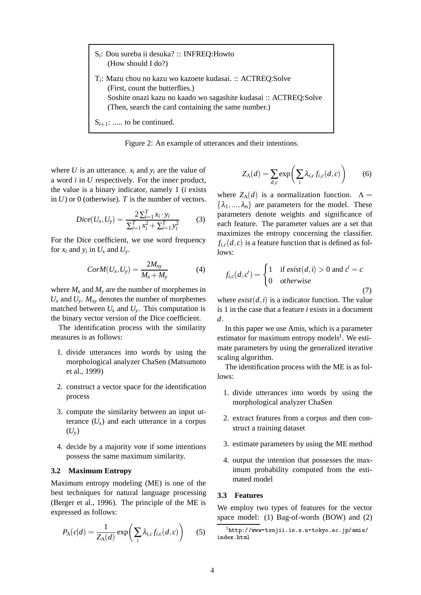S*i*: Dou sureba ii desuka? :: INFREQ:Howto (How should I do?) T*i*: Mazu chou no kazu wo kazoete kudasai. :: ACTREQ:Solve (First, count the butterflies.) Soshite onazi kazu no kaado wo sagashite kudasai :: ACTREQ:Solve (Then, search the card containing the same number.)  $S_{i+1}$ : ..... to be continued.

Figure 2: An example of utterances and their intentions.

where *U* is an utterance.  $x_i$  and  $y_i$  are the value of a word *i* in *U* respectively. For the inner product, the value is a binary indicator, namely 1 (*i* exists in *U*) or 0 (otherwise). *T* is the number of vectors.

$$
Dice(U_x, U_y) = \frac{2\sum_{i=1}^{T} x_i \cdot y_i}{\sum_{i=1}^{T} x_i^2 + \sum_{i=1}^{T} y_i^2}
$$
(3)

For the Dice coefficient, we use word frequency for  $x_i$  and  $y_i$  in  $U_x$  and  $U_y$ .

$$
CorM(U_x, U_y) = \frac{2M_{xy}}{M_x + M_y} \tag{4}
$$

where  $M_x$  and  $M_y$  are the number of morphemes in  $U_x$  and  $U_y$ .  $M_{xy}$  denotes the number of morphemes matched between  $U_x$  and  $U_y$ . This computation is the binary vector version of the Dice coefficient.

The identification process with the similarity measures is as follows:

- 1. divide utterances into words by using the morphological analyzer ChaSen (Matsumoto et al., 1999)
- 2. construct a vector space for the identification process
- 3. compute the similarity between an input utterance  $(U_x)$  and each utterance in a corpus (*Uy*)
- 4. decide by a majority vote if some intentions possess the same maximum similarity.

#### **3.2 Maximum Entropy**

Maximum entropy modeling (ME) is one of the best techniques for natural language processing (Berger et al., 1996). The principle of the ME is expressed as follows:

$$
P_{\Lambda}(c|d) = \frac{1}{Z_{\Lambda}(d)} \exp\bigg(\sum_{i} \lambda_{i,c} f_{i,c}(d,c)\bigg) \qquad (5)
$$

$$
Z_{\Lambda}(d) = \sum_{d,c} \exp\left(\sum_{i} \lambda_{i,c} f_{i,c}(d,c)\right) \tag{6}
$$

where  $Z_{\Lambda}(d)$  is a normalization function.  $\Lambda =$  $\{\lambda_1, ..., \lambda_n\}$  are parameters for the model. These parameters denote weights and significance of each feature. The parameter values are a set that maximizes the entropy concerning the classifier.  $f_{i,c}(d,c)$  is a feature function that is defined as follows:

$$
f_{i,c}(d,c') = \begin{cases} 1 & \text{if } exist(d,i) > 0 \text{ and } c' = c \\ 0 & otherwise \end{cases}
$$
 (7)

where  $exist(d, i)$  is a indicator function. The value is 1 in the case that a feature *i* exists in a document *d*.

In this paper we use Amis, which is a parameter estimator for maximum entropy models<sup>1</sup>. We estimate parameters by using the generalized iterative scaling algorithm.

The identification process with the ME is as follows:

- 1. divide utterances into words by using the morphological analyzer ChaSen
- 2. extract features from a corpus and then construct a training dataset
- 3. estimate parameters by using the ME method
- 4. output the intention that possesses the maximum probability computed from the estimated model

#### **3.3 Features**

We employ two types of features for the vector space model: (1) Bag-of-words (BOW) and (2)

 $^1$ http://www-tsujii.is.s.u-tokyo.ac.jp/amis/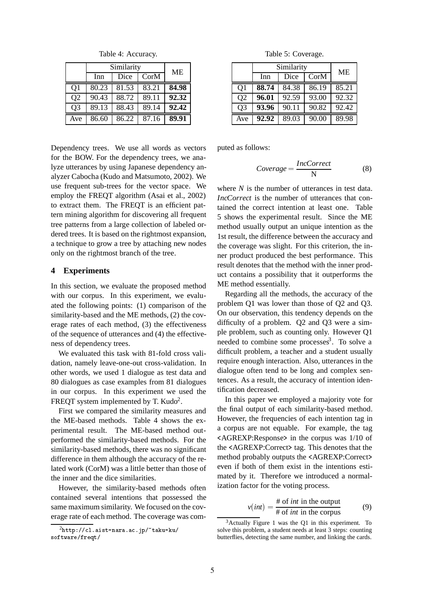Table 4: Accuracy.

|                | Similarity |       | ME    |       |
|----------------|------------|-------|-------|-------|
|                | Inn        | Dice  | CorM  |       |
| Q1             | 80.23      | 81.53 | 83.21 | 84.98 |
| Q <sub>2</sub> | 90.43      | 88.72 | 89.11 | 92.32 |
| Q <sub>3</sub> | 89.13      | 88.43 | 89.14 | 92.42 |
| Ave            | 86.60      | 86.22 | 87.16 | 89.91 |

Dependency trees. We use all words as vectors for the BOW. For the dependency trees, we analyze utterances by using Japanese dependency analyzer Cabocha (Kudo and Matsumoto, 2002). We use frequent sub-trees for the vector space. We employ the FREQT algorithm (Asai et al., 2002) to extract them. The FREQT is an efficient pattern mining algorithm for discovering all frequent tree patterns from a large collection of labeled ordered trees. It is based on the rightmost expansion, a technique to grow a tree by attaching new nodes only on the rightmost branch of the tree.

#### **4 Experiments**

In this section, we evaluate the proposed method with our corpus. In this experiment, we evaluated the following points: (1) comparison of the similarity-based and the ME methods, (2) the coverage rates of each method, (3) the effectiveness of the sequence of utterances and (4) the effectiveness of dependency trees.

We evaluated this task with 81-fold cross validation, namely leave-one-out cross-validation. In other words, we used 1 dialogue as test data and 80 dialogues as case examples from 81 dialogues in our corpus. In this experiment we used the FREQT system implemented by T. Kudo<sup>2</sup>.

First we compared the similarity measures and the ME-based methods. Table 4 shows the experimental result. The ME-based method outperformed the similarity-based methods. For the similarity-based methods, there was no significant difference in them although the accuracy of the related work (CorM) was a little better than those of the inner and the dice similarities.

However, the similarity-based methods often contained several intentions that possessed the same maximum similarity. We focused on the coverage rate of each method. The coverage was com-

Table 5: Coverage.

|                | Similarity |       |       | ME    |
|----------------|------------|-------|-------|-------|
|                | Inn        | Dice  | CorM  |       |
| Q <sub>1</sub> | 88.74      | 84.38 | 86.19 | 85.21 |
| Q <sub>2</sub> | 96.01      | 92.59 | 93.00 | 92.32 |
| Q <sub>3</sub> | 93.96      | 90.11 | 90.82 | 92.42 |
| Ave            | 92.92      | 89.03 | 90.00 | 89.98 |

puted as follows:

$$
Coverage = \frac{IncCorrect}{N}
$$
 (8)

where *N* is the number of utterances in test data. *IncCorrect* is the number of utterances that contained the correct intention at least one. Table 5 shows the experimental result. Since the ME method usually output an unique intention as the 1st result, the difference between the accuracy and the coverage was slight. For this criterion, the inner product produced the best performance. This result denotes that the method with the inner product contains a possibility that it outperforms the ME method essentially.

Regarding all the methods, the accuracy of the problem Q1 was lower than those of Q2 and Q3. On our observation, this tendency depends on the difficulty of a problem. Q2 and Q3 were a simple problem, such as counting only. However Q1 needed to combine some processes<sup>3</sup>. To solve a difficult problem, a teacher and a student usually require enough interaction. Also, utterances in the dialogue often tend to be long and complex sentences. As a result, the accuracy of intention identification decreased.

In this paper we employed a majority vote for the final output of each similarity-based method. However, the frequencies of each intention tag in a corpus are not equable. For example, the tag <AGREXP:Response> in the corpus was 1/10 of the <AGREXP:Correct> tag. This denotes that the method probably outputs the <AGREXP:Correct> even if both of them exist in the intentions estimated by it. Therefore we introduced a normalization factor for the voting process.

$$
v(int) = \frac{\text{# of } int \text{ in the output}}{\text{# of } int \text{ in the corpus}} \tag{9}
$$

 $^2$ http://cl.aist-nara.ac.jp/~taku-ku/ --

 $3$ Actually Figure 1 was the Q1 in this experiment. To solve this problem, a student needs at least 3 steps: counting butterflies, detecting the same number, and linking the cards.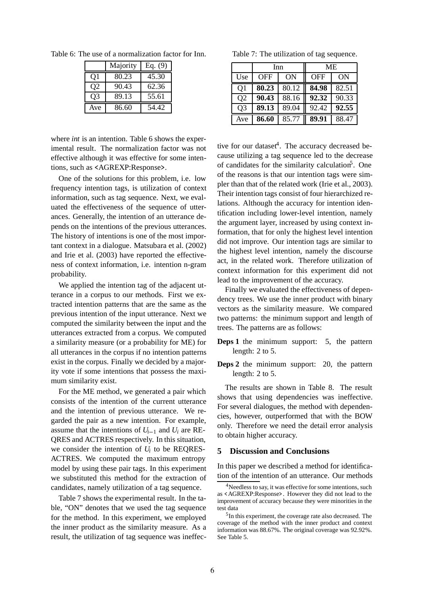|                | Majority | Eq. $(9)$ |
|----------------|----------|-----------|
| O1             | 80.23    | 45.30     |
| Q <sub>2</sub> | 90.43    | 62.36     |
| O <sub>3</sub> | 89.13    | 55.61     |
| Ave            | 86.60    | 54.42     |

Table 6: The use of a normalization factor for Inn.

where *int* is an intention. Table 6 shows the experimental result. The normalization factor was not effective although it was effective for some intentions, such as <AGREXP:Response>.

One of the solutions for this problem, i.e. low frequency intention tags, is utilization of context information, such as tag sequence. Next, we evaluated the effectiveness of the sequence of utterances. Generally, the intention of an utterance depends on the intentions of the previous utterances. The history of intentions is one of the most important context in a dialogue. Matsubara et al. (2002) and Irie et al. (2003) have reported the effectiveness of context information, i.e. intention n-gram probability.

We applied the intention tag of the adjacent utterance in a corpus to our methods. First we extracted intention patterns that are the same as the previous intention of the input utterance. Next we computed the similarity between the input and the utterances extracted from a corpus. We computed a similarity measure (or a probability for ME) for all utterances in the corpus if no intention patterns exist in the corpus. Finally we decided by a majority vote if some intentions that possess the maximum similarity exist.

For the ME method, we generated a pair which consists of the intention of the current utterance and the intention of previous utterance. We regarded the pair as a new intention. For example, assume that the intentions of  $U_{i-1}$  and  $U_i$  are RE-QRES and ACTRES respectively. In this situation, we consider the intention of *Ui* to be REQRES-ACTRES. We computed the maximum entropy model by using these pair tags. In this experiment we substituted this method for the extraction of candidates, namely utilization of a tag sequence.

Table 7 shows the experimental result. In the table, "ON" denotes that we used the tag sequence for the method. In this experiment, we employed the inner product as the similarity measure. As a result, the utilization of tag sequence was ineffec-

Table 7: The utilization of tag sequence.

|                | Inn        |       | МE         |       |
|----------------|------------|-------|------------|-------|
| Use            | <b>OFF</b> | ON    | <b>OFF</b> | ON    |
| Q1             | 80.23      | 80.12 | 84.98      | 82.51 |
| Q <sub>2</sub> | 90.43      | 88.16 | 92.32      | 90.33 |
| Q <sub>3</sub> | 89.13      | 89.04 | 92.42      | 92.55 |
| Ave            | 86.60      | 85.77 | 89.91      | 88.47 |

tive for our dataset<sup>4</sup>. The accuracy decreased because utilizing a tag sequence led to the decrease of candidates for the similarity calculation<sup>5</sup>. One of the reasons is that our intention tags were simpler than that of the related work (Irie et al., 2003). Their intention tags consist of four hierarchized relations. Although the accuracy for intention identification including lower-level intention, namely the argument layer, increased by using context information, that for only the highest level intention did not improve. Our intention tags are similar to the highest level intention, namely the discourse act, in the related work. Therefore utilization of context information for this experiment did not lead to the improvement of the accuracy.

Finally we evaluated the effectiveness of dependency trees. We use the inner product with binary vectors as the similarity measure. We compared two patterns: the minimum support and length of trees. The patterns are as follows:

**Deps 1** the minimum support: 5, the pattern length: 2 to 5.

**Deps 2** the minimum support: 20, the pattern length: 2 to 5.

The results are shown in Table 8. The result shows that using dependencies was ineffective. For several dialogues, the method with dependencies, however, outperformed that with the BOW only. Therefore we need the detail error analysis to obtain higher accuracy.

#### **5 Discussion and Conclusions**

In this paper we described a method for identification of the intention of an utterance. Our methods

<sup>&</sup>lt;sup>4</sup>Needless to say, it was effective for some intentions, such as <AGREXP:Response>. However they did not lead to the improvement of accuracy because they were minorities in the test data

<sup>5</sup>In this experiment, the coverage rate also decreased. The coverage of the method with the inner product and context information was 88.67%. The original coverage was 92.92%. See Table 5.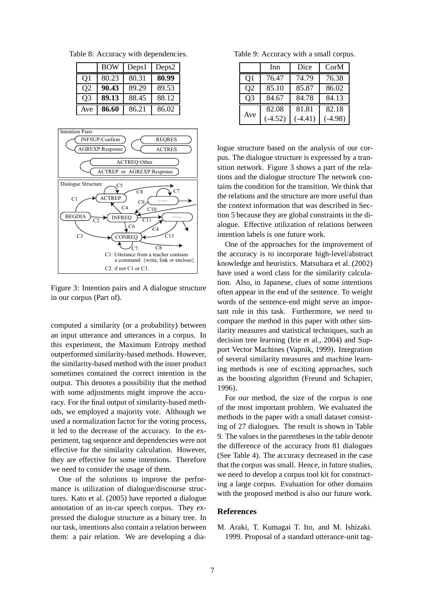Table 8: Accuracy with dependencies.

|                | BOW   | Deps1 | Deps2 |
|----------------|-------|-------|-------|
| Q <sub>1</sub> | 80.23 | 80.31 | 80.99 |
| Q <sub>2</sub> | 90.43 | 89.29 | 89.53 |
| Q <sub>3</sub> | 89.13 | 88.45 | 88.12 |
| Ave            | 86.60 | 86.21 | 86.02 |



Figure 3: Intention pairs and A dialogue structure in our corpus (Part of).

computed a similarity (or a probability) between an input utterance and utterances in a corpus. In this experiment, the Maximum Entropy method outperformed similarity-based methods. However, the similarity-based method with the inner product sometimes contained the correct intention in the output. This denotes a possibility that the method with some adjustments might improve the accuracy. For the final output of similarity-based methods, we employed a majority vote. Although we used a normalization factor for the voting process, it led to the decrease of the accuracy. In the experiment, tag sequence and dependencies were not effective for the similarity calculation. However, they are effective for some intentions. Therefore we need to consider the usage of them.

One of the solutions to improve the performance is utilization of dialogue/discourse structures. Kato et al. (2005) have reported a dialogue annotation of an in-car speech corpus. They expressed the dialogue structure as a binary tree. In our task, intentions also contain a relation between them: a pair relation. We are developing a dia-

Table 9: Accuracy with a small corpus.

|                | Inn       | Dice      | CorM      |
|----------------|-----------|-----------|-----------|
| Q <sub>1</sub> | 76.47     | 74.79     | 76.38     |
| Q <sub>2</sub> | 85.10     | 85.87     | 86.02     |
| Q <sub>3</sub> | 84.67     | 84.78     | 84.13     |
|                | 82.08     | 81.81     | 82.18     |
| Ave            | $(-4.52)$ | $(-4.41)$ | $(-4.98)$ |

logue structure based on the analysis of our corpus. The dialogue structure is expressed by a transition network. Figure 3 shows a part of the relations and the dialogue structure The network contains the condition for the transition. We think that the relations and the structure are more useful than the context information that was described in Section 5 because they are global constraints in the dialogue. Effective utilization of relations between intention labels is one future work.

One of the approaches for the improvement of the accuracy is to incorporate high-level/abstract knowledge and heuristics. Matsubara et al. (2002) have used a word class for the similarity calculation. Also, in Japanese, clues of some intentions often appear in the end of the sentence. To weight words of the sentence-end might serve an important role in this task. Furthermore, we need to compare the method in this paper with other similarity measures and statistical techniques, such as decision tree learning (Irie et al., 2004) and Support Vector Machines (Vapnik, 1999). Integration of several similarity measures and machine learning methods is one of exciting approaches, such as the boosting algorithm (Freund and Schapier, 1996).

For our method, the size of the corpus is one of the most important problem. We evaluated the methods in the paper with a small dataset consisting of 27 dialogues. The result is shown in Table 9. The values in the parentheses in the table denote the difference of the accuracy from 81 dialogues (See Table 4). The accuracy decreased in the case that the corpus was small. Hence, in future studies, we need to develop a corpus tool kit for constructing a large corpus. Evaluation for other domains with the proposed method is also our future work.

#### **References**

M. Araki, T. Kumagai T. Ito, and M. Ishizaki. 1999. Proposal of a standard utterance-unit tag